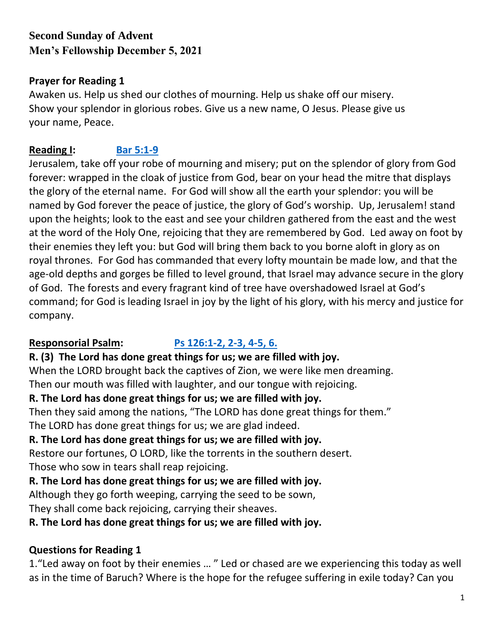# **Second Sunday of Advent Men's Fellowship December 5, 2021**

#### **Prayer for Reading 1**

Awaken us. Help us shed our clothes of mourning. Help us shake off our misery. Show your splendor in glorious robes. Give us a new name, O Jesus. Please give us your name, Peace.

# **Reading I: [Bar 5:1-9](https://bible.usccb.org/bible/baruch/5?1)**

Jerusalem, take off your robe of mourning and misery; put on the splendor of glory from God forever: wrapped in the cloak of justice from God, bear on your head the mitre that displays the glory of the eternal name. For God will show all the earth your splendor: you will be named by God forever the peace of justice, the glory of God's worship. Up, Jerusalem! stand upon the heights; look to the east and see your children gathered from the east and the west at the word of the Holy One, rejoicing that they are remembered by God. Led away on foot by their enemies they left you: but God will bring them back to you borne aloft in glory as on royal thrones. For God has commanded that every lofty mountain be made low, and that the age-old depths and gorges be filled to level ground, that Israel may advance secure in the glory of God. The forests and every fragrant kind of tree have overshadowed Israel at God's command; for God is leading Israel in joy by the light of his glory, with his mercy and justice for company.

## **Responsorial Psalm: [Ps 126:1-2, 2-3, 4-5, 6.](https://bible.usccb.org/bible/psalms/126?1)**

#### **R. (3) The Lord has done great things for us; we are filled with joy.**

When the LORD brought back the captives of Zion, we were like men dreaming. Then our mouth was filled with laughter, and our tongue with rejoicing.

## **R. The Lord has done great things for us; we are filled with joy.**

Then they said among the nations, "The LORD has done great things for them."

The LORD has done great things for us; we are glad indeed.

## **R. The Lord has done great things for us; we are filled with joy.**

Restore our fortunes, O LORD, like the torrents in the southern desert.

Those who sow in tears shall reap rejoicing.

**R. The Lord has done great things for us; we are filled with joy.**

Although they go forth weeping, carrying the seed to be sown,

They shall come back rejoicing, carrying their sheaves.

**R. The Lord has done great things for us; we are filled with joy.**

## **Questions for Reading 1**

1."Led away on foot by their enemies … " Led or chased are we experiencing this today as well as in the time of Baruch? Where is the hope for the refugee suffering in exile today? Can you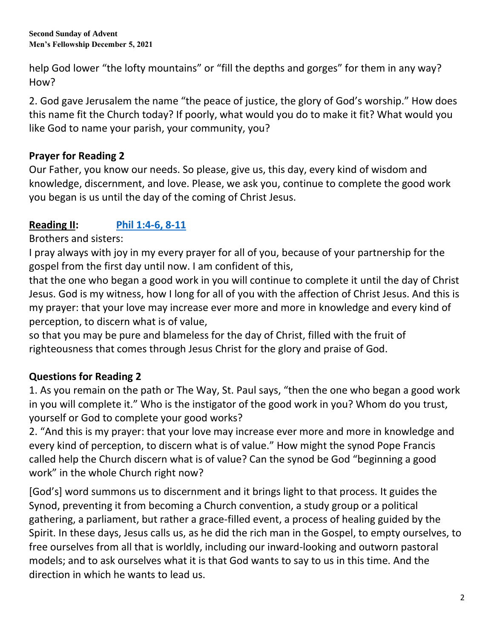**Second Sunday of Advent Men's Fellowship December 5, 2021**

help God lower "the lofty mountains" or "fill the depths and gorges" for them in any way? How?

2. God gave Jerusalem the name "the peace of justice, the glory of God's worship." How does this name fit the Church today? If poorly, what would you do to make it fit? What would you like God to name your parish, your community, you?

## **Prayer for Reading 2**

Our Father, you know our needs. So please, give us, this day, every kind of wisdom and knowledge, discernment, and love. Please, we ask you, continue to complete the good work you began is us until the day of the coming of Christ Jesus.

## **Reading II: [Phil 1:4-6, 8-11](https://bible.usccb.org/bible/philippians/1?4)**

Brothers and sisters:

I pray always with joy in my every prayer for all of you, because of your partnership for the gospel from the first day until now. I am confident of this,

that the one who began a good work in you will continue to complete it until the day of Christ Jesus. God is my witness, how I long for all of you with the affection of Christ Jesus. And this is my prayer: that your love may increase ever more and more in knowledge and every kind of perception, to discern what is of value,

so that you may be pure and blameless for the day of Christ, filled with the fruit of righteousness that comes through Jesus Christ for the glory and praise of God.

## **Questions for Reading 2**

1. As you remain on the path or The Way, St. Paul says, "then the one who began a good work in you will complete it." Who is the instigator of the good work in you? Whom do you trust, yourself or God to complete your good works?

2. "And this is my prayer: that your love may increase ever more and more in knowledge and every kind of perception, to discern what is of value." How might the synod Pope Francis called help the Church discern what is of value? Can the synod be God "beginning a good work" in the whole Church right now?

[God's] word summons us to discernment and it brings light to that process. It guides the Synod, preventing it from becoming a Church convention, a study group or a political gathering, a parliament, but rather a grace-filled event, a process of healing guided by the Spirit. In these days, Jesus calls us, as he did the rich man in the Gospel, to empty ourselves, to free ourselves from all that is worldly, including our inward-looking and outworn pastoral models; and to ask ourselves what it is that God wants to say to us in this time. And the direction in which he wants to lead us.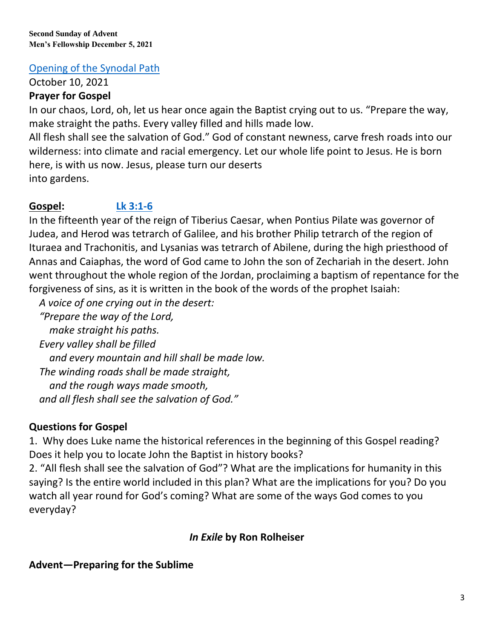**Second Sunday of Advent Men's Fellowship December 5, 2021**

## [Opening of the Synodal Path](https://www.vatican.va/content/francesco/en/homilies/2021/documents/20211010-omelia-sinodo-vescovi.html)

October 10, 2021

## **Prayer for Gospel**

In our chaos, Lord, oh, let us hear once again the Baptist crying out to us. "Prepare the way, make straight the paths. Every valley filled and hills made low.

All flesh shall see the salvation of God." God of constant newness, carve fresh roads into our wilderness: into climate and racial emergency. Let our whole life point to Jesus. He is born here, is with us now. Jesus, please turn our deserts into gardens.

## **Gospel: [Lk 3:1-6](https://bible.usccb.org/bible/luke/3?1)**

In the fifteenth year of the reign of Tiberius Caesar, when Pontius Pilate was governor of Judea, and Herod was tetrarch of Galilee, and his brother Philip tetrarch of the region of Ituraea and Trachonitis, and Lysanias was tetrarch of Abilene, during the high priesthood of Annas and Caiaphas, the word of God came to John the son of Zechariah in the desert. John went throughout the whole region of the Jordan, proclaiming a baptism of repentance for the forgiveness of sins, as it is written in the book of the words of the prophet Isaiah:

*A voice of one crying out in the desert:*

 *"Prepare the way of the Lord, make straight his paths. Every valley shall be filled and every mountain and hill shall be made low. The winding roads shall be made straight, and the rough ways made smooth, and all flesh shall see the salvation of God."*

## **Questions for Gospel**

1. Why does Luke name the historical references in the beginning of this Gospel reading? Does it help you to locate John the Baptist in history books?

2. "All flesh shall see the salvation of God"? What are the implications for humanity in this saying? Is the entire world included in this plan? What are the implications for you? Do you watch all year round for God's coming? What are some of the ways God comes to you everyday?

## *In Exile* **by Ron Rolheiser**

# **Advent—Preparing for the Sublime**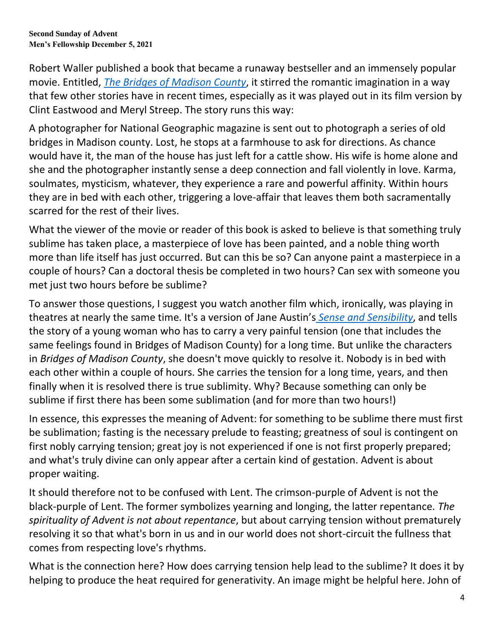Robert Waller published a book that became a runaway bestseller and an immensely popular movie. Entitled, *[The Bridges of Madison County](https://en.wikipedia.org/wiki/The_Bridges_of_Madison_County)*, it stirred the romantic imagination in a way that few other stories have in recent times, especially as it was played out in its film version by Clint Eastwood and Meryl Streep. The story runs this way:

A photographer for National Geographic magazine is sent out to photograph a series of old bridges in Madison county. Lost, he stops at a farmhouse to ask for directions. As chance would have it, the man of the house has just left for a cattle show. His wife is home alone and she and the photographer instantly sense a deep connection and fall violently in love. Karma, soulmates, mysticism, whatever, they experience a rare and powerful affinity. Within hours they are in bed with each other, triggering a love-affair that leaves them both sacramentally scarred for the rest of their lives.

What the viewer of the movie or reader of this book is asked to believe is that something truly sublime has taken place, a masterpiece of love has been painted, and a noble thing worth more than life itself has just occurred. But can this be so? Can anyone paint a masterpiece in a couple of hours? Can a doctoral thesis be completed in two hours? Can sex with someone you met just two hours before be sublime?

To answer those questions, I suggest you watch another film which, ironically, was playing in theatres at nearly the same time. It's a version of Jane Austin'[s](https://en.wikipedia.org/wiki/Sense_and_Sensibility_(film)) *[Sense and Sensibility](https://en.wikipedia.org/wiki/Sense_and_Sensibility_(film))*, and tells the story of a young woman who has to carry a very painful tension (one that includes the same feelings found in Bridges of Madison County) for a long time. But unlike the characters in *Bridges of Madison County*, she doesn't move quickly to resolve it. Nobody is in bed with each other within a couple of hours. She carries the tension for a long time, years, and then finally when it is resolved there is true sublimity. Why? Because something can only be sublime if first there has been some sublimation (and for more than two hours!)

In essence, this expresses the meaning of Advent: for something to be sublime there must first be sublimation; fasting is the necessary prelude to feasting; greatness of soul is contingent on first nobly carrying tension; great joy is not experienced if one is not first properly prepared; and what's truly divine can only appear after a certain kind of gestation. Advent is about proper waiting.

It should therefore not to be confused with Lent. The crimson-purple of Advent is not the black-purple of Lent. The former symbolizes yearning and longing, the latter repentance. *The spirituality of Advent is not about repentance*, but about carrying tension without prematurely resolving it so that what's born in us and in our world does not short-circuit the fullness that comes from respecting love's rhythms.

What is the connection here? How does carrying tension help lead to the sublime? It does it by helping to produce the heat required for generativity. An image might be helpful here. John of